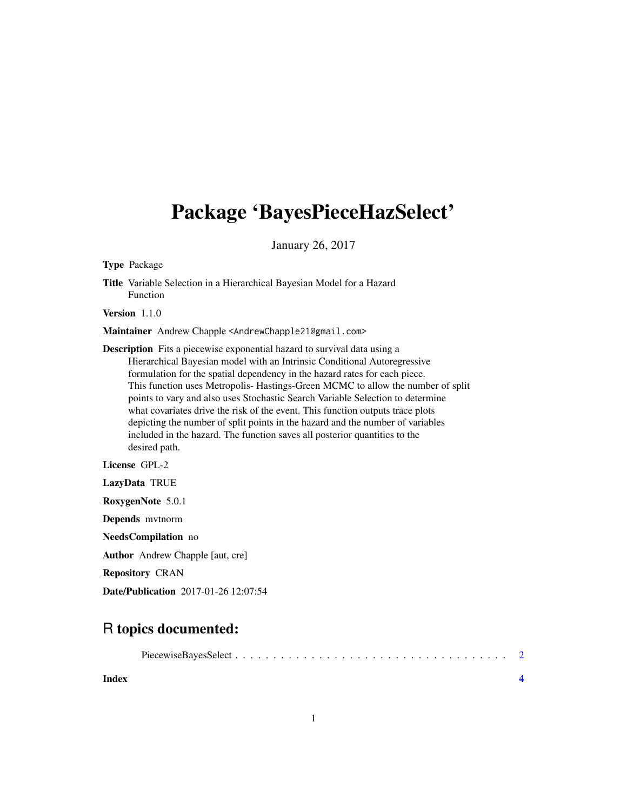## Package 'BayesPieceHazSelect'

January 26, 2017

Type Package

Title Variable Selection in a Hierarchical Bayesian Model for a Hazard Function

Version 1.1.0

Maintainer Andrew Chapple <AndrewChapple21@gmail.com>

Description Fits a piecewise exponential hazard to survival data using a Hierarchical Bayesian model with an Intrinsic Conditional Autoregressive formulation for the spatial dependency in the hazard rates for each piece. This function uses Metropolis- Hastings-Green MCMC to allow the number of split points to vary and also uses Stochastic Search Variable Selection to determine what covariates drive the risk of the event. This function outputs trace plots depicting the number of split points in the hazard and the number of variables included in the hazard. The function saves all posterior quantities to the desired path.

License GPL-2

LazyData TRUE RoxygenNote 5.0.1 Depends mvtnorm

NeedsCompilation no

Author Andrew Chapple [aut, cre]

Repository CRAN

Date/Publication 2017-01-26 12:07:54

### R topics documented:

**Index** [4](#page-3-0)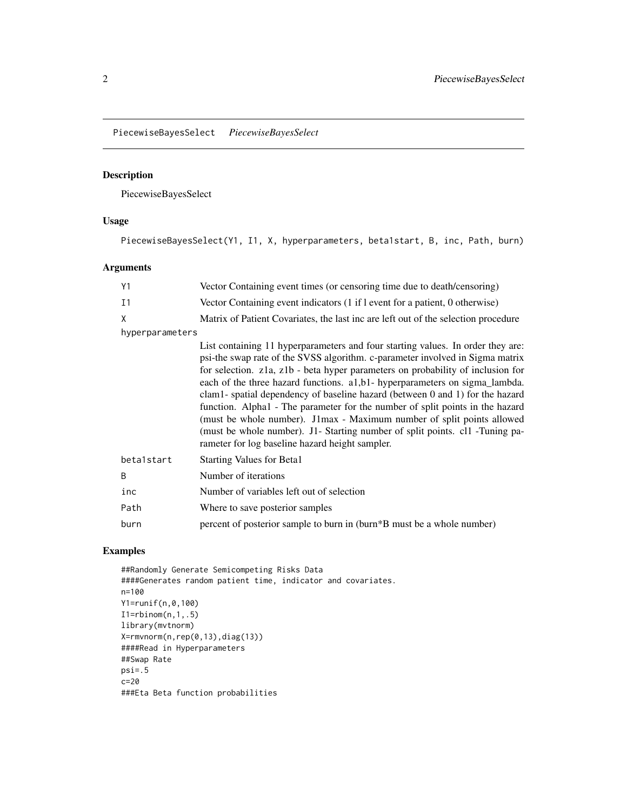<span id="page-1-0"></span>PiecewiseBayesSelect *PiecewiseBayesSelect*

#### Description

PiecewiseBayesSelect

#### Usage

PiecewiseBayesSelect(Y1, I1, X, hyperparameters, beta1start, B, inc, Path, burn)

#### Arguments

| Y1              | Vector Containing event times (or censoring time due to death/censoring)                                                                                                                                                                                                                                                                                                                                                                                                                                                                                                                                                                                                                                          |
|-----------------|-------------------------------------------------------------------------------------------------------------------------------------------------------------------------------------------------------------------------------------------------------------------------------------------------------------------------------------------------------------------------------------------------------------------------------------------------------------------------------------------------------------------------------------------------------------------------------------------------------------------------------------------------------------------------------------------------------------------|
| I <sub>1</sub>  | Vector Containing event indicators (1 if 1 event for a patient, 0 otherwise)                                                                                                                                                                                                                                                                                                                                                                                                                                                                                                                                                                                                                                      |
| X               | Matrix of Patient Covariates, the last inc are left out of the selection procedure                                                                                                                                                                                                                                                                                                                                                                                                                                                                                                                                                                                                                                |
| hyperparameters |                                                                                                                                                                                                                                                                                                                                                                                                                                                                                                                                                                                                                                                                                                                   |
|                 | List containing 11 hyperparameters and four starting values. In order they are:<br>psi-the swap rate of the SVSS algorithm. c-parameter involved in Sigma matrix<br>for selection. z1a, z1b - beta hyper parameters on probability of inclusion for<br>each of the three hazard functions. a1,b1- hyperparameters on sigma_lambda.<br>clam1- spatial dependency of baseline hazard (between 0 and 1) for the hazard<br>function. Alpha1 - The parameter for the number of split points in the hazard<br>(must be whole number). J1max - Maximum number of split points allowed<br>(must be whole number). J1- Starting number of split points. cl1 -Tuning pa-<br>rameter for log baseline hazard height sampler. |
| betalstart      | <b>Starting Values for Beta1</b>                                                                                                                                                                                                                                                                                                                                                                                                                                                                                                                                                                                                                                                                                  |
| B               | Number of iterations                                                                                                                                                                                                                                                                                                                                                                                                                                                                                                                                                                                                                                                                                              |
| inc             | Number of variables left out of selection                                                                                                                                                                                                                                                                                                                                                                                                                                                                                                                                                                                                                                                                         |
| Path            | Where to save posterior samples                                                                                                                                                                                                                                                                                                                                                                                                                                                                                                                                                                                                                                                                                   |
| burn            | percent of posterior sample to burn in (burn*B must be a whole number)                                                                                                                                                                                                                                                                                                                                                                                                                                                                                                                                                                                                                                            |

#### Examples

##Randomly Generate Semicompeting Risks Data ####Generates random patient time, indicator and covariates. n=100 Y1=runif(n,0,100)  $I1 = rbinom(n, 1, .5)$ library(mvtnorm) X=rmvnorm(n,rep(0,13),diag(13)) ####Read in Hyperparameters ##Swap Rate psi=.5 c=20 ###Eta Beta function probabilities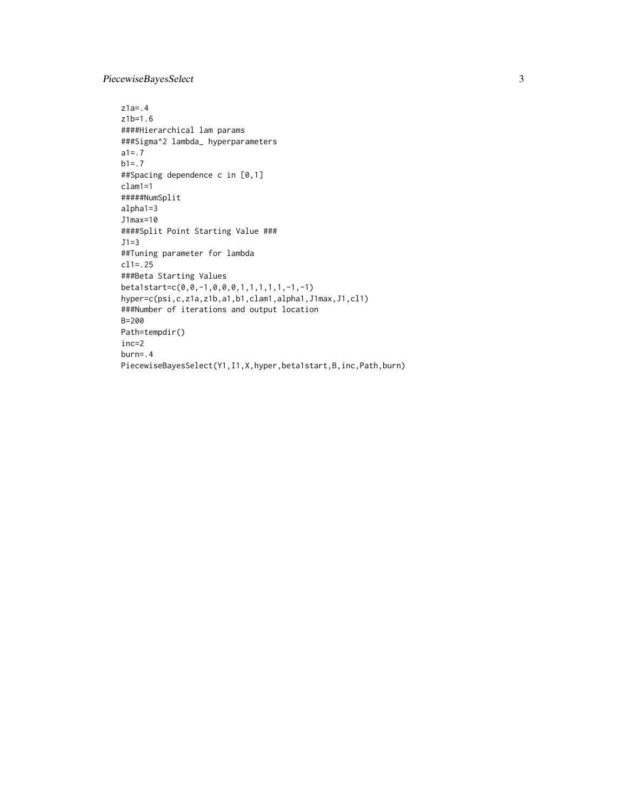#### PiecewiseBayesSelect 3

```
z1a=.4
z1b=1.6
####Hierarchical lam params
###Sigma^2 lambda_ hyperparameters
a1=.7
b1 = .7##Spacing dependence c in [0,1]
clam1=1
#####NumSplit
alpha1=3
J1max=10
####Split Point Starting Value ###
J1=3
##Tuning parameter for lambda
cl1=.25
###Beta Starting Values
beta1start=c(0,0,-1,0,0,0,1,1,1,1,1,-1,-1)
hyper=c(psi,c,z1a,z1b,a1,b1,clam1,alpha1,J1max,J1,cl1)
###Number of iterations and output location
B=200
Path=tempdir()
inc=2
burn=.4
PiecewiseBayesSelect(Y1,I1,X,hyper,beta1start,B,inc,Path,burn)
```